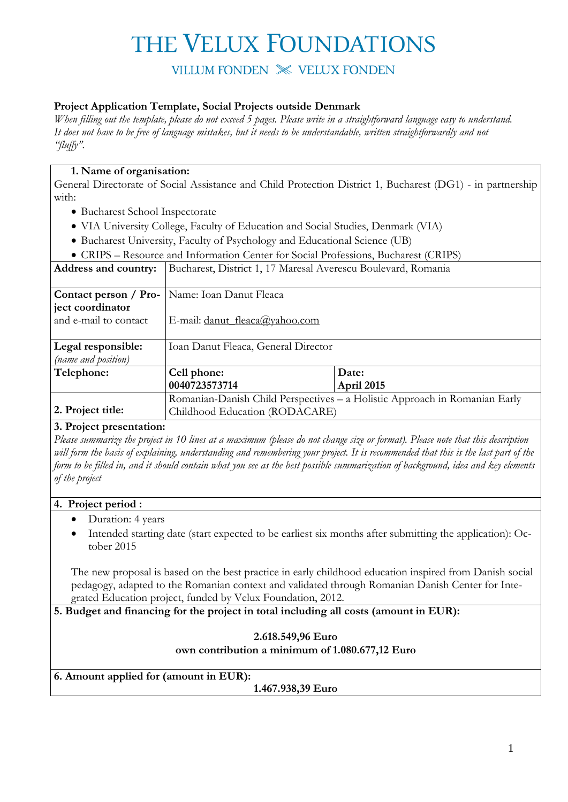VILLUM FONDEN  $\mathbb{X}$  VELUX FONDEN

### **Project Application Template, Social Projects outside Denmark**

*When filling out the template, please do not exceed 5 pages. Please write in a straightforward language easy to understand. It does not have to be free of language mistakes, but it needs to be understandable, written straightforwardly and not "fluffy".*

### **1. Name of organisation:**

General Directorate of Social Assistance and Child Protection District 1, Bucharest (DG1) - in partnership with:

- Bucharest School Inspectorate
- VIA University College, Faculty of Education and Social Studies, Denmark (VIA)
- Bucharest University, Faculty of Psychology and Educational Science (UB)
- CRIPS Resource and Information Center for Social Professions, Bucharest (CRIPS)

| Address and country:  | Bucharest, District 1, 17 Maresal Averescu Boulevard, Romania              |            |  |  |
|-----------------------|----------------------------------------------------------------------------|------------|--|--|
|                       |                                                                            |            |  |  |
|                       | <b>Contact person / Pro-</b>   Name: Ioan Danut Fleaca                     |            |  |  |
| ject coordinator      |                                                                            |            |  |  |
| and e-mail to contact | E-mail: <u>danut fleaca@yahoo.com</u>                                      |            |  |  |
|                       |                                                                            |            |  |  |
| Legal responsible:    | Ioan Danut Fleaca, General Director                                        |            |  |  |
| (name and position)   |                                                                            |            |  |  |
| Telephone:            | Cell phone:                                                                | Date:      |  |  |
|                       | 0040723573714                                                              | April 2015 |  |  |
|                       | Romanian-Danish Child Perspectives - a Holistic Approach in Romanian Early |            |  |  |
| 2. Project title:     | Childhood Education (RODACARE)                                             |            |  |  |

#### **3. Project presentation:**

*Please summarize the project in 10 lines at a maximum (please do not change size or format). Please note that this description will form the basis of explaining, understanding and remembering your project. It is recommended that this is the last part of the form to be filled in, and it should contain what you see as the best possible summarization of background, idea and key elements of the project*

#### **4. Project period :**

- Duration: 4 years
- Intended starting date (start expected to be earliest six months after submitting the application): October 2015

The new proposal is based on the best practice in early childhood education inspired from Danish social pedagogy, adapted to the Romanian context and validated through Romanian Danish Center for Integrated Education project, funded by Velux Foundation, 2012.

**5. Budget and financing for the project in total including all costs (amount in EUR):**

### **2.618.549,96 Euro own contribution a minimum of 1.080.677,12 Euro**

**6. Amount applied for (amount in EUR):**

**1.467.938,39 Euro**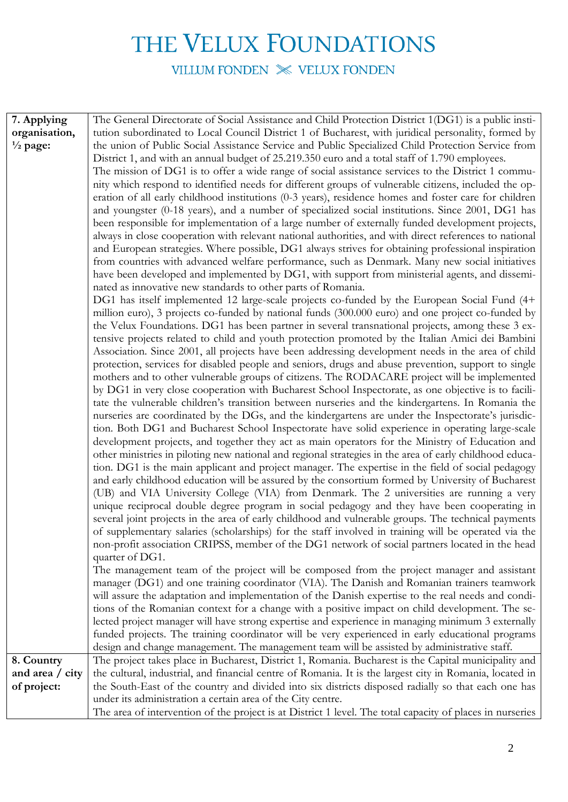VILLUM FONDEN  $\gg$  VELUX FONDEN

| 7. Applying         | The General Directorate of Social Assistance and Child Protection District 1(DG1) is a public insti-                                                                                               |
|---------------------|----------------------------------------------------------------------------------------------------------------------------------------------------------------------------------------------------|
| organisation,       | tution subordinated to Local Council District 1 of Bucharest, with juridical personality, formed by                                                                                                |
| $\frac{1}{2}$ page: | the union of Public Social Assistance Service and Public Specialized Child Protection Service from                                                                                                 |
|                     | District 1, and with an annual budget of 25.219.350 euro and a total staff of 1.790 employees.                                                                                                     |
|                     | The mission of DG1 is to offer a wide range of social assistance services to the District 1 commu-                                                                                                 |
|                     | nity which respond to identified needs for different groups of vulnerable citizens, included the op-                                                                                               |
|                     | eration of all early childhood institutions (0-3 years), residence homes and foster care for children                                                                                              |
|                     | and youngster (0-18 years), and a number of specialized social institutions. Since 2001, DG1 has                                                                                                   |
|                     | been responsible for implementation of a large number of externally funded development projects,                                                                                                   |
|                     | always in close cooperation with relevant national authorities, and with direct references to national                                                                                             |
|                     | and European strategies. Where possible, DG1 always strives for obtaining professional inspiration                                                                                                 |
|                     | from countries with advanced welfare performance, such as Denmark. Many new social initiatives                                                                                                     |
|                     | have been developed and implemented by DG1, with support from ministerial agents, and dissemi-                                                                                                     |
|                     | nated as innovative new standards to other parts of Romania.                                                                                                                                       |
|                     | DG1 has itself implemented 12 large-scale projects co-funded by the European Social Fund (4+                                                                                                       |
|                     | million euro), 3 projects co-funded by national funds (300.000 euro) and one project co-funded by                                                                                                  |
|                     | the Velux Foundations. DG1 has been partner in several transnational projects, among these 3 ex-                                                                                                   |
|                     | tensive projects related to child and youth protection promoted by the Italian Amici dei Bambini                                                                                                   |
|                     | Association. Since 2001, all projects have been addressing development needs in the area of child                                                                                                  |
|                     | protection, services for disabled people and seniors, drugs and abuse prevention, support to single                                                                                                |
|                     | mothers and to other vulnerable groups of citizens. The RODACARE project will be implemented                                                                                                       |
|                     | by DG1 in very close cooperation with Bucharest School Inspectorate, as one objective is to facili-                                                                                                |
|                     | tate the vulnerable children's transition between nurseries and the kindergartens. In Romania the                                                                                                  |
|                     | nurseries are coordinated by the DGs, and the kindergartens are under the Inspectorate's jurisdic-                                                                                                 |
|                     | tion. Both DG1 and Bucharest School Inspectorate have solid experience in operating large-scale<br>development projects, and together they act as main operators for the Ministry of Education and |
|                     | other ministries in piloting new national and regional strategies in the area of early childhood educa-                                                                                            |
|                     | tion. DG1 is the main applicant and project manager. The expertise in the field of social pedagogy                                                                                                 |
|                     | and early childhood education will be assured by the consortium formed by University of Bucharest                                                                                                  |
|                     | (UB) and VIA University College (VIA) from Denmark. The 2 universities are running a very                                                                                                          |
|                     | unique reciprocal double degree program in social pedagogy and they have been cooperating in                                                                                                       |
|                     | several joint projects in the area of early childhood and vulnerable groups. The technical payments                                                                                                |
|                     | of supplementary salaries (scholarships) for the staff involved in training will be operated via the                                                                                               |
|                     | non-profit association CRIPSS, member of the DG1 network of social partners located in the head                                                                                                    |
|                     | quarter of DG1.                                                                                                                                                                                    |
|                     | The management team of the project will be composed from the project manager and assistant                                                                                                         |
|                     | manager (DG1) and one training coordinator (VIA). The Danish and Romanian trainers teamwork                                                                                                        |
|                     | will assure the adaptation and implementation of the Danish expertise to the real needs and condi-                                                                                                 |
|                     | tions of the Romanian context for a change with a positive impact on child development. The se-                                                                                                    |
|                     | lected project manager will have strong expertise and experience in managing minimum 3 externally                                                                                                  |
|                     | funded projects. The training coordinator will be very experienced in early educational programs                                                                                                   |
|                     | design and change management. The management team will be assisted by administrative staff.                                                                                                        |
| 8. Country          | The project takes place in Bucharest, District 1, Romania. Bucharest is the Capital municipality and                                                                                               |
| and area / city     | the cultural, industrial, and financial centre of Romania. It is the largest city in Romania, located in                                                                                           |
| of project:         | the South-East of the country and divided into six districts disposed radially so that each one has                                                                                                |
|                     | under its administration a certain area of the City centre.                                                                                                                                        |
|                     | The area of intervention of the project is at District 1 level. The total capacity of places in nurseries                                                                                          |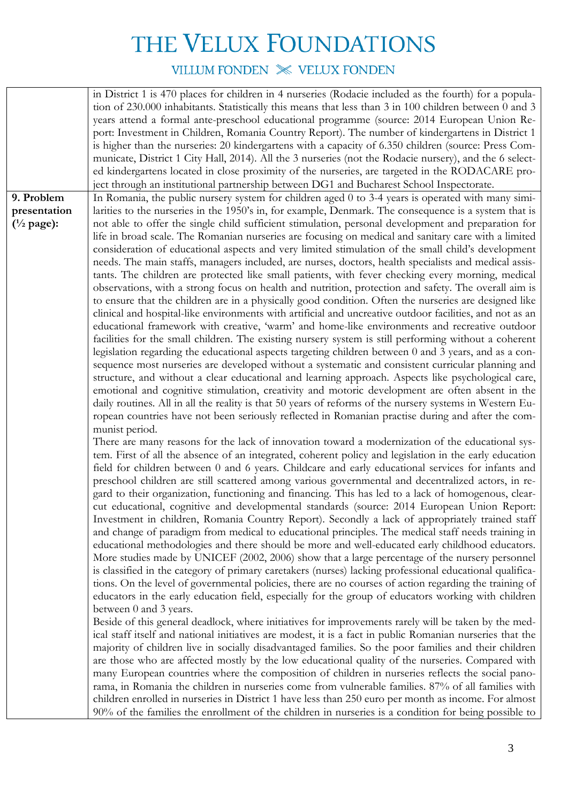VILLUM FONDEN  $\mathbb{X}$  VELUX FONDEN

|                                                           | in District 1 is 470 places for children in 4 nurseries (Rodacie included as the fourth) for a popula-<br>tion of 230.000 inhabitants. Statistically this means that less than 3 in 100 children between 0 and 3<br>years attend a formal ante-preschool educational programme (source: 2014 European Union Re- |
|-----------------------------------------------------------|-----------------------------------------------------------------------------------------------------------------------------------------------------------------------------------------------------------------------------------------------------------------------------------------------------------------|
|                                                           | port: Investment in Children, Romania Country Report). The number of kindergartens in District 1<br>is higher than the nurseries: 20 kindergartens with a capacity of 6.350 children (source: Press Com-                                                                                                        |
|                                                           | municate, District 1 City Hall, 2014). All the 3 nurseries (not the Rodacie nursery), and the 6 select-<br>ed kindergartens located in close proximity of the nurseries, are targeted in the RODACARE pro-                                                                                                      |
|                                                           | ject through an institutional partnership between DG1 and Bucharest School Inspectorate.                                                                                                                                                                                                                        |
| 9. Problem                                                | In Romania, the public nursery system for children aged 0 to 3-4 years is operated with many simi-                                                                                                                                                                                                              |
| presentation<br>$\left(\frac{1}{2} \text{ page}\right)$ : | larities to the nurseries in the 1950's in, for example, Denmark. The consequence is a system that is<br>not able to offer the single child sufficient stimulation, personal development and preparation for                                                                                                    |
|                                                           | life in broad scale. The Romanian nurseries are focusing on medical and sanitary care with a limited                                                                                                                                                                                                            |
|                                                           | consideration of educational aspects and very limited stimulation of the small child's development                                                                                                                                                                                                              |
|                                                           | needs. The main staffs, managers included, are nurses, doctors, health specialists and medical assis-                                                                                                                                                                                                           |
|                                                           | tants. The children are protected like small patients, with fever checking every morning, medical                                                                                                                                                                                                               |
|                                                           | observations, with a strong focus on health and nutrition, protection and safety. The overall aim is                                                                                                                                                                                                            |
|                                                           | to ensure that the children are in a physically good condition. Often the nurseries are designed like<br>clinical and hospital-like environments with artificial and uncreative outdoor facilities, and not as an                                                                                               |
|                                                           | educational framework with creative, 'warm' and home-like environments and recreative outdoor                                                                                                                                                                                                                   |
|                                                           | facilities for the small children. The existing nursery system is still performing without a coherent                                                                                                                                                                                                           |
|                                                           | legislation regarding the educational aspects targeting children between 0 and 3 years, and as a con-                                                                                                                                                                                                           |
|                                                           | sequence most nurseries are developed without a systematic and consistent curricular planning and                                                                                                                                                                                                               |
|                                                           | structure, and without a clear educational and learning approach. Aspects like psychological care,                                                                                                                                                                                                              |
|                                                           | emotional and cognitive stimulation, creativity and motoric development are often absent in the                                                                                                                                                                                                                 |
|                                                           | daily routines. All in all the reality is that 50 years of reforms of the nursery systems in Western Eu-<br>ropean countries have not been seriously reflected in Romanian practise during and after the com-                                                                                                   |
|                                                           | munist period.                                                                                                                                                                                                                                                                                                  |
|                                                           | There are many reasons for the lack of innovation toward a modernization of the educational sys-                                                                                                                                                                                                                |
|                                                           | tem. First of all the absence of an integrated, coherent policy and legislation in the early education                                                                                                                                                                                                          |
|                                                           | field for children between 0 and 6 years. Childcare and early educational services for infants and                                                                                                                                                                                                              |
|                                                           | preschool children are still scattered among various governmental and decentralized actors, in re-                                                                                                                                                                                                              |
|                                                           | gard to their organization, functioning and financing. This has led to a lack of homogenous, clear-                                                                                                                                                                                                             |
|                                                           | cut educational, cognitive and developmental standards (source: 2014 European Union Report:<br>Investment in children, Romania Country Report). Secondly a lack of appropriately trained staff                                                                                                                  |
|                                                           | and change of paradigm from medical to educational principles. The medical staff needs training in                                                                                                                                                                                                              |
|                                                           | educational methodologies and there should be more and well-educated early childhood educators.                                                                                                                                                                                                                 |
|                                                           | More studies made by UNICEF (2002, 2006) show that a large percentage of the nursery personnel                                                                                                                                                                                                                  |
|                                                           | is classified in the category of primary caretakers (nurses) lacking professional educational qualifica-                                                                                                                                                                                                        |
|                                                           | tions. On the level of governmental policies, there are no courses of action regarding the training of                                                                                                                                                                                                          |
|                                                           | educators in the early education field, especially for the group of educators working with children                                                                                                                                                                                                             |
|                                                           | between 0 and 3 years.<br>Beside of this general deadlock, where initiatives for improvements rarely will be taken by the med-                                                                                                                                                                                  |
|                                                           | ical staff itself and national initiatives are modest, it is a fact in public Romanian nurseries that the                                                                                                                                                                                                       |
|                                                           | majority of children live in socially disadvantaged families. So the poor families and their children                                                                                                                                                                                                           |
|                                                           | are those who are affected mostly by the low educational quality of the nurseries. Compared with                                                                                                                                                                                                                |
|                                                           | many European countries where the composition of children in nurseries reflects the social pano-                                                                                                                                                                                                                |
|                                                           | rama, in Romania the children in nurseries come from vulnerable families. 87% of all families with                                                                                                                                                                                                              |
|                                                           | children enrolled in nurseries in District 1 have less than 250 euro per month as income. For almost                                                                                                                                                                                                            |
|                                                           | 90% of the families the enrollment of the children in nurseries is a condition for being possible to                                                                                                                                                                                                            |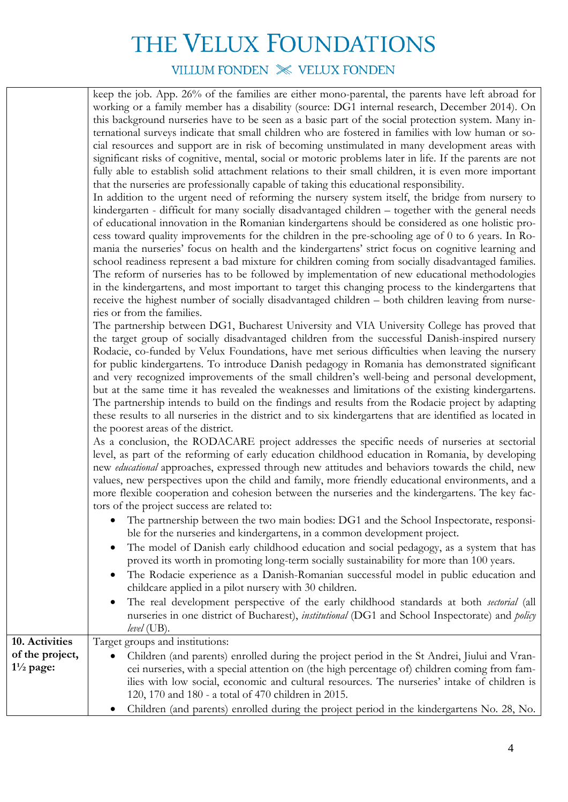VILLUM FONDEN  $\mathbb{X}$  VELUX FONDEN

| keep the job. App. 26% of the families are either mono-parental, the parents have left abroad for        |
|----------------------------------------------------------------------------------------------------------|
| working or a family member has a disability (source: DG1 internal research, December 2014). On           |
| this background nurseries have to be seen as a basic part of the social protection system. Many in-      |
| ternational surveys indicate that small children who are fostered in families with low human or so-      |
| cial resources and support are in risk of becoming unstimulated in many development areas with           |
| significant risks of cognitive, mental, social or motoric problems later in life. If the parents are not |
| fully able to establish solid attachment relations to their small children, it is even more important    |
| that the nurseries are professionally capable of taking this educational responsibility.                 |
|                                                                                                          |

In addition to the urgent need of reforming the nursery system itself, the bridge from nursery to kindergarten - difficult for many socially disadvantaged children – together with the general needs of educational innovation in the Romanian kindergartens should be considered as one holistic process toward quality improvements for the children in the pre-schooling age of 0 to 6 years. In Romania the nurseries' focus on health and the kindergartens' strict focus on cognitive learning and school readiness represent a bad mixture for children coming from socially disadvantaged families. The reform of nurseries has to be followed by implementation of new educational methodologies in the kindergartens, and most important to target this changing process to the kindergartens that receive the highest number of socially disadvantaged children – both children leaving from nurseries or from the families.

The partnership between DG1, Bucharest University and VIA University College has proved that the target group of socially disadvantaged children from the successful Danish-inspired nursery Rodacie, co-funded by Velux Foundations, have met serious difficulties when leaving the nursery for public kindergartens. To introduce Danish pedagogy in Romania has demonstrated significant and very recognized improvements of the small children's well-being and personal development, but at the same time it has revealed the weaknesses and limitations of the existing kindergartens. The partnership intends to build on the findings and results from the Rodacie project by adapting these results to all nurseries in the district and to six kindergartens that are identified as located in the poorest areas of the district.

As a conclusion, the RODACARE project addresses the specific needs of nurseries at sectorial level, as part of the reforming of early education childhood education in Romania, by developing new *educational* approaches, expressed through new attitudes and behaviors towards the child, new values, new perspectives upon the child and family, more friendly educational environments, and a more flexible cooperation and cohesion between the nurseries and the kindergartens. The key factors of the project success are related to:

- The partnership between the two main bodies: DG1 and the School Inspectorate, responsible for the nurseries and kindergartens, in a common development project.
- The model of Danish early childhood education and social pedagogy, as a system that has proved its worth in promoting long-term socially sustainability for more than 100 years.
- The Rodacie experience as a Danish-Romanian successful model in public education and childcare applied in a pilot nursery with 30 children.
- The real development perspective of the early childhood standards at both *sectorial* (all nurseries in one district of Bucharest), *institutional* (DG1 and School Inspectorate) and *policy level* (UB).

| 10. Activities       | Target groups and institutions:                                                                |
|----------------------|------------------------------------------------------------------------------------------------|
| of the project,      | • Children (and parents) enrolled during the project period in the St Andrei, Jiului and Vran- |
| $1\frac{1}{2}$ page: | cei nurseries, with a special attention on (the high percentage of) children coming from fam-  |
|                      | ilies with low social, economic and cultural resources. The nurseries' intake of children is   |
|                      | 120, 170 and 180 - a total of 470 children in 2015.                                            |
|                      | Children (and parents) enrolled during the project period in the kindergartens No. 28, No.     |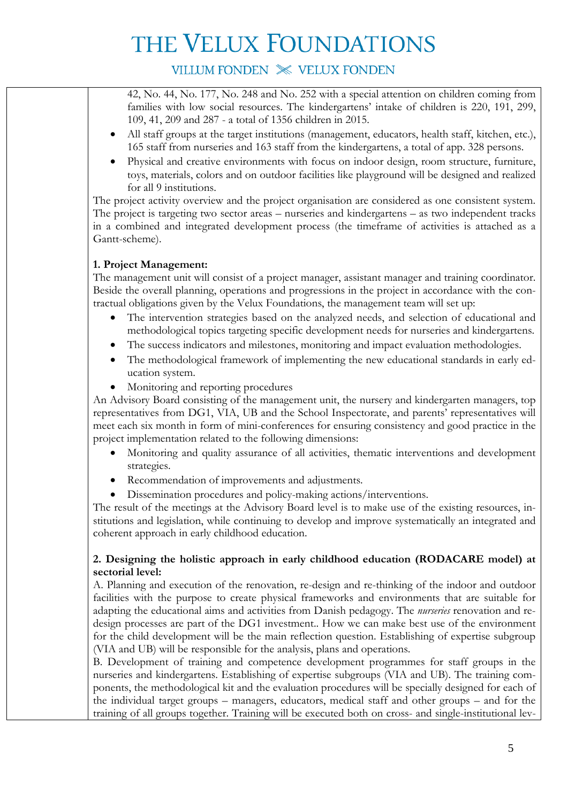## VILLUM FONDEN X VELUX FONDEN

42, No. 44, No. 177, No. 248 and No. 252 with a special attention on children coming from families with low social resources. The kindergartens' intake of children is 220, 191, 299, 109, 41, 209 and 287 - a total of 1356 children in 2015.

- All staff groups at the target institutions (management, educators, health staff, kitchen, etc.), 165 staff from nurseries and 163 staff from the kindergartens, a total of app. 328 persons.
- Physical and creative environments with focus on indoor design, room structure, furniture, toys, materials, colors and on outdoor facilities like playground will be designed and realized for all 9 institutions.

The project activity overview and the project organisation are considered as one consistent system. The project is targeting two sector areas – nurseries and kindergartens – as two independent tracks in a combined and integrated development process (the timeframe of activities is attached as a Gantt-scheme).

### **1. Project Management:**

The management unit will consist of a project manager, assistant manager and training coordinator. Beside the overall planning, operations and progressions in the project in accordance with the contractual obligations given by the Velux Foundations, the management team will set up:

- The intervention strategies based on the analyzed needs, and selection of educational and methodological topics targeting specific development needs for nurseries and kindergartens.
- The success indicators and milestones, monitoring and impact evaluation methodologies.
- The methodological framework of implementing the new educational standards in early education system.
- Monitoring and reporting procedures

An Advisory Board consisting of the management unit, the nursery and kindergarten managers, top representatives from DG1, VIA, UB and the School Inspectorate, and parents' representatives will meet each six month in form of mini-conferences for ensuring consistency and good practice in the project implementation related to the following dimensions:

- Monitoring and quality assurance of all activities, thematic interventions and development strategies.
- Recommendation of improvements and adjustments.
- Dissemination procedures and policy-making actions/interventions.

The result of the meetings at the Advisory Board level is to make use of the existing resources, institutions and legislation, while continuing to develop and improve systematically an integrated and coherent approach in early childhood education.

### **2. Designing the holistic approach in early childhood education (RODACARE model) at sectorial level:**

A. Planning and execution of the renovation, re-design and re-thinking of the indoor and outdoor facilities with the purpose to create physical frameworks and environments that are suitable for adapting the educational aims and activities from Danish pedagogy. The *nurseries* renovation and redesign processes are part of the DG1 investment.. How we can make best use of the environment for the child development will be the main reflection question. Establishing of expertise subgroup (VIA and UB) will be responsible for the analysis, plans and operations.

B. Development of training and competence development programmes for staff groups in the nurseries and kindergartens. Establishing of expertise subgroups (VIA and UB). The training components, the methodological kit and the evaluation procedures will be specially designed for each of the individual target groups – managers, educators, medical staff and other groups – and for the training of all groups together. Training will be executed both on cross- and single-institutional lev-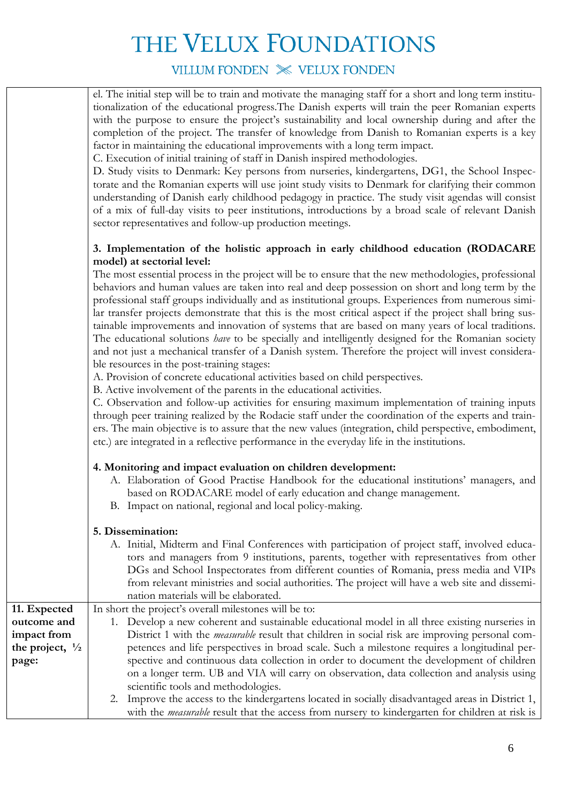## VILLUM FONDEN X VELUX FONDEN

el. The initial step will be to train and motivate the managing staff for a short and long term institutionalization of the educational progress.The Danish experts will train the peer Romanian experts with the purpose to ensure the project's sustainability and local ownership during and after the completion of the project. The transfer of knowledge from Danish to Romanian experts is a key factor in maintaining the educational improvements with a long term impact.

C. Execution of initial training of staff in Danish inspired methodologies.

D. Study visits to Denmark: Key persons from nurseries, kindergartens, DG1, the School Inspectorate and the Romanian experts will use joint study visits to Denmark for clarifying their common understanding of Danish early childhood pedagogy in practice. The study visit agendas will consist of a mix of full-day visits to peer institutions, introductions by a broad scale of relevant Danish sector representatives and follow-up production meetings.

### **3. Implementation of the holistic approach in early childhood education (RODACARE model) at sectorial level:**

The most essential process in the project will be to ensure that the new methodologies, professional behaviors and human values are taken into real and deep possession on short and long term by the professional staff groups individually and as institutional groups. Experiences from numerous similar transfer projects demonstrate that this is the most critical aspect if the project shall bring sustainable improvements and innovation of systems that are based on many years of local traditions. The educational solutions *have* to be specially and intelligently designed for the Romanian society and not just a mechanical transfer of a Danish system. Therefore the project will invest considerable resources in the post-training stages:

A. Provision of concrete educational activities based on child perspectives.

B. Active involvement of the parents in the educational activities.

C. Observation and follow-up activities for ensuring maximum implementation of training inputs through peer training realized by the Rodacie staff under the coordination of the experts and trainers. The main objective is to assure that the new values (integration, child perspective, embodiment, etc.) are integrated in a reflective performance in the everyday life in the institutions.

### **4. Monitoring and impact evaluation on children development:**

- A. Elaboration of Good Practise Handbook for the educational institutions' managers, and based on RODACARE model of early education and change management.
- B. Impact on national, regional and local policy-making.

### **5. Dissemination:**

|                            | A. Initial, Midterm and Final Conferences with participation of project staff, involved educa-         |  |  |  |  |
|----------------------------|--------------------------------------------------------------------------------------------------------|--|--|--|--|
|                            | tors and managers from 9 institutions, parents, together with representatives from other               |  |  |  |  |
|                            | DGs and School Inspectorates from different counties of Romania, press media and VIPs                  |  |  |  |  |
|                            | from relevant ministries and social authorities. The project will have a web site and dissemi-         |  |  |  |  |
|                            | nation materials will be elaborated.                                                                   |  |  |  |  |
| 11. Expected               | In short the project's overall milestones will be to:                                                  |  |  |  |  |
| outcome and                | 1. Develop a new coherent and sustainable educational model in all three existing nurseries in         |  |  |  |  |
| impact from                | District 1 with the <i>measurable</i> result that children in social risk are improving personal com-  |  |  |  |  |
| the project, $\frac{1}{2}$ | petences and life perspectives in broad scale. Such a milestone requires a longitudinal per-           |  |  |  |  |
| page:                      | spective and continuous data collection in order to document the development of children               |  |  |  |  |
|                            | on a longer term. UB and VIA will carry on observation, data collection and analysis using             |  |  |  |  |
|                            | scientific tools and methodologies.                                                                    |  |  |  |  |
|                            | 2. Improve the access to the kindergartens located in socially disadvantaged areas in District 1,      |  |  |  |  |
|                            | with the <i>measurable</i> result that the access from nursery to kindergarten for children at risk is |  |  |  |  |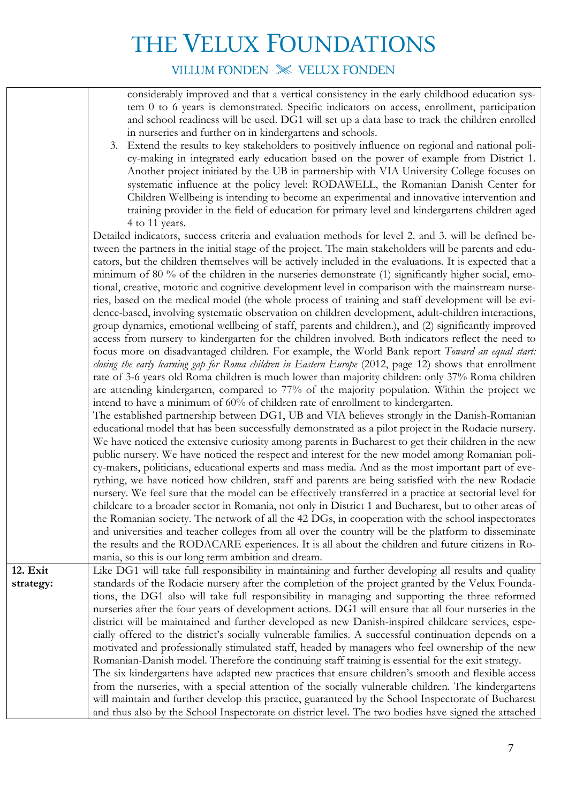VILLUM FONDEN X VELUX FONDEN

considerably improved and that a vertical consistency in the early childhood education system 0 to 6 years is demonstrated. Specific indicators on access, enrollment, participation and school readiness will be used. DG1 will set up a data base to track the children enrolled in nurseries and further on in kindergartens and schools.

3. Extend the results to key stakeholders to positively influence on regional and national policy-making in integrated early education based on the power of example from District 1. Another project initiated by the UB in partnership with VIA University College focuses on systematic influence at the policy level: RODAWELL, the Romanian Danish Center for Children Wellbeing is intending to become an experimental and innovative intervention and training provider in the field of education for primary level and kindergartens children aged 4 to 11 years.

Detailed indicators, success criteria and evaluation methods for level 2. and 3. will be defined between the partners in the initial stage of the project. The main stakeholders will be parents and educators, but the children themselves will be actively included in the evaluations. It is expected that a minimum of 80 % of the children in the nurseries demonstrate (1) significantly higher social, emotional, creative, motoric and cognitive development level in comparison with the mainstream nurseries, based on the medical model (the whole process of training and staff development will be evidence-based, involving systematic observation on children development, adult-children interactions, group dynamics, emotional wellbeing of staff, parents and children.), and (2) significantly improved access from nursery to kindergarten for the children involved. Both indicators reflect the need to focus more on disadvantaged children. For example, the World Bank report *Toward an equal start: closing the early learning gap for Roma children in Eastern Europe* (2012, page 12) shows that enrollment rate of 3-6 years old Roma children is much lower than majority children: only 37% Roma children are attending kindergarten, compared to 77% of the majority population. Within the project we intend to have a minimum of 60% of children rate of enrollment to kindergarten.

The established partnership between DG1, UB and VIA believes strongly in the Danish-Romanian educational model that has been successfully demonstrated as a pilot project in the Rodacie nursery. We have noticed the extensive curiosity among parents in Bucharest to get their children in the new public nursery. We have noticed the respect and interest for the new model among Romanian policy-makers, politicians, educational experts and mass media. And as the most important part of everything, we have noticed how children, staff and parents are being satisfied with the new Rodacie nursery. We feel sure that the model can be effectively transferred in a practice at sectorial level for childcare to a broader sector in Romania, not only in District 1 and Bucharest, but to other areas of the Romanian society. The network of all the 42 DGs, in cooperation with the school inspectorates and universities and teacher colleges from all over the country will be the platform to disseminate the results and the RODACARE experiences. It is all about the children and future citizens in Romania, so this is our long term ambition and dream.

and thus also by the School Inspectorate on district level. The two bodies have signed the attached

**12. Exit strategy:**  Like DG1 will take full responsibility in maintaining and further developing all results and quality standards of the Rodacie nursery after the completion of the project granted by the Velux Foundations, the DG1 also will take full responsibility in managing and supporting the three reformed nurseries after the four years of development actions. DG1 will ensure that all four nurseries in the district will be maintained and further developed as new Danish-inspired childcare services, especially offered to the district's socially vulnerable families. A successful continuation depends on a motivated and professionally stimulated staff, headed by managers who feel ownership of the new Romanian-Danish model. Therefore the continuing staff training is essential for the exit strategy. The six kindergartens have adapted new practices that ensure children's smooth and flexible access from the nurseries, with a special attention of the socially vulnerable children. The kindergartens will maintain and further develop this practice, guaranteed by the School Inspectorate of Bucharest